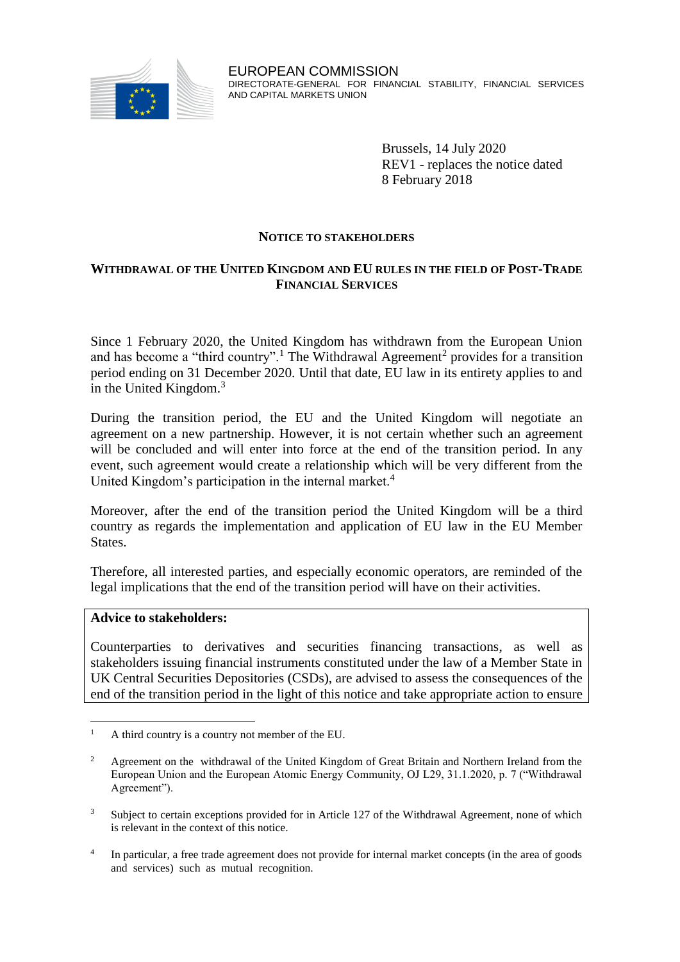

Brussels, 14 July 2020 REV1 - replaces the notice dated 8 February 2018

### **NOTICE TO STAKEHOLDERS**

### **WITHDRAWAL OF THE UNITED KINGDOM AND EU RULES IN THE FIELD OF POST-TRADE FINANCIAL SERVICES**

Since 1 February 2020, the United Kingdom has withdrawn from the European Union and has become a "third country".<sup>1</sup> The Withdrawal Agreement<sup>2</sup> provides for a transition period ending on 31 December 2020. Until that date, EU law in its entirety applies to and in the United Kingdom. $3$ 

During the transition period, the EU and the United Kingdom will negotiate an agreement on a new partnership. However, it is not certain whether such an agreement will be concluded and will enter into force at the end of the transition period. In any event, such agreement would create a relationship which will be very different from the United Kingdom's participation in the internal market.<sup>4</sup>

Moreover, after the end of the transition period the United Kingdom will be a third country as regards the implementation and application of EU law in the EU Member States.

Therefore, all interested parties, and especially economic operators, are reminded of the legal implications that the end of the transition period will have on their activities.

#### **Advice to stakeholders:**

Counterparties to derivatives and securities financing transactions, as well as stakeholders issuing financial instruments constituted under the law of a Member State in UK Central Securities Depositories (CSDs), are advised to assess the consequences of the end of the transition period in the light of this notice and take appropriate action to ensure

 $\overline{a}$ <sup>1</sup> A third country is a country not member of the EU.

<sup>&</sup>lt;sup>2</sup> Agreement on the withdrawal of the United Kingdom of Great Britain and Northern Ireland from the European Union and the European Atomic Energy Community, OJ L29, 31.1.2020, p. 7 ("Withdrawal Agreement").

<sup>&</sup>lt;sup>3</sup> Subject to certain exceptions provided for in Article 127 of the Withdrawal Agreement, none of which is relevant in the context of this notice.

<sup>4</sup> In particular, a free trade agreement does not provide for internal market concepts (in the area of goods and services) such as mutual recognition.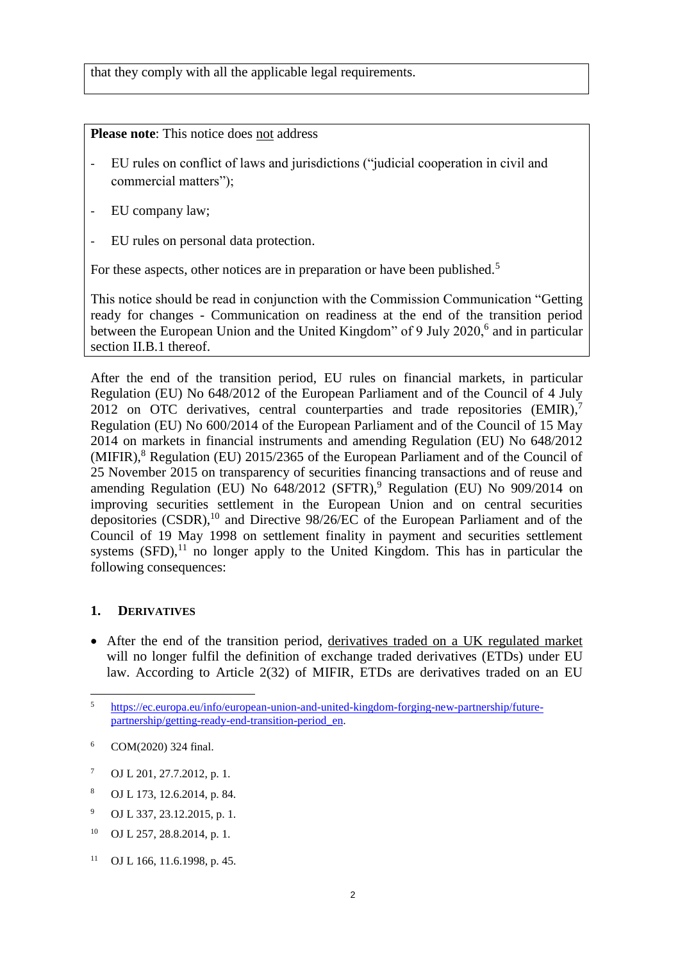that they comply with all the applicable legal requirements.

**Please note**: This notice does not address

- EU rules on conflict of laws and jurisdictions ("judicial cooperation in civil and commercial matters");
- EU company law;
- EU rules on personal data protection.

For these aspects, other notices are in preparation or have been published.<sup>5</sup>

This notice should be read in conjunction with the Commission Communication "Getting ready for changes - Communication on readiness at the end of the transition period between the European Union and the United Kingdom" of 9 July 2020,<sup>6</sup> and in particular section II.B.1 thereof.

After the end of the transition period, EU rules on financial markets, in particular Regulation (EU) No 648/2012 of the European Parliament and of the Council of 4 July 2012 on OTC derivatives, central counterparties and trade repositories  $(EMIR)$ , Regulation (EU) No 600/2014 of the European Parliament and of the Council of 15 May 2014 on markets in financial instruments and amending Regulation (EU) No 648/2012  $(MIFIR)<sup>8</sup>$  Regulation (EU) 2015/2365 of the European Parliament and of the Council of 25 November 2015 on transparency of securities financing transactions and of reuse and amending Regulation (EU) No 648/2012 (SFTR),<sup>9</sup> Regulation (EU) No 909/2014 on improving securities settlement in the European Union and on central securities depositories (CSDR), <sup>10</sup> and Directive 98/26/EC of the European Parliament and of the Council of 19 May 1998 on settlement finality in payment and securities settlement systems  $(SFD)$ ,<sup>11</sup> no longer apply to the United Kingdom. This has in particular the following consequences:

# **1. DERIVATIVES**

 After the end of the transition period, derivatives traded on a UK regulated market will no longer fulfil the definition of exchange traded derivatives (ETDs) under EU law. According to Article 2(32) of MIFIR, ETDs are derivatives traded on an EU

- <sup>7</sup> OJ L 201, 27.7.2012, p. 1.
- <sup>8</sup> OJ L 173, 12.6.2014, p. 84.
- <sup>9</sup> OJ L 337, 23.12.2015, p. 1.
- <sup>10</sup> OJ L 257, 28.8.2014, p. 1.
- <sup>11</sup> OJ L 166, 11.6.1998, p. 45.

 $\overline{5}$ <sup>5</sup> [https://ec.europa.eu/info/european-union-and-united-kingdom-forging-new-partnership/future](https://ec.europa.eu/info/european-union-and-united-kingdom-forging-new-partnership/future-partnership/getting-ready-end-transition-period_en)[partnership/getting-ready-end-transition-period\\_en.](https://ec.europa.eu/info/european-union-and-united-kingdom-forging-new-partnership/future-partnership/getting-ready-end-transition-period_en)

<sup>6</sup> COM(2020) 324 final.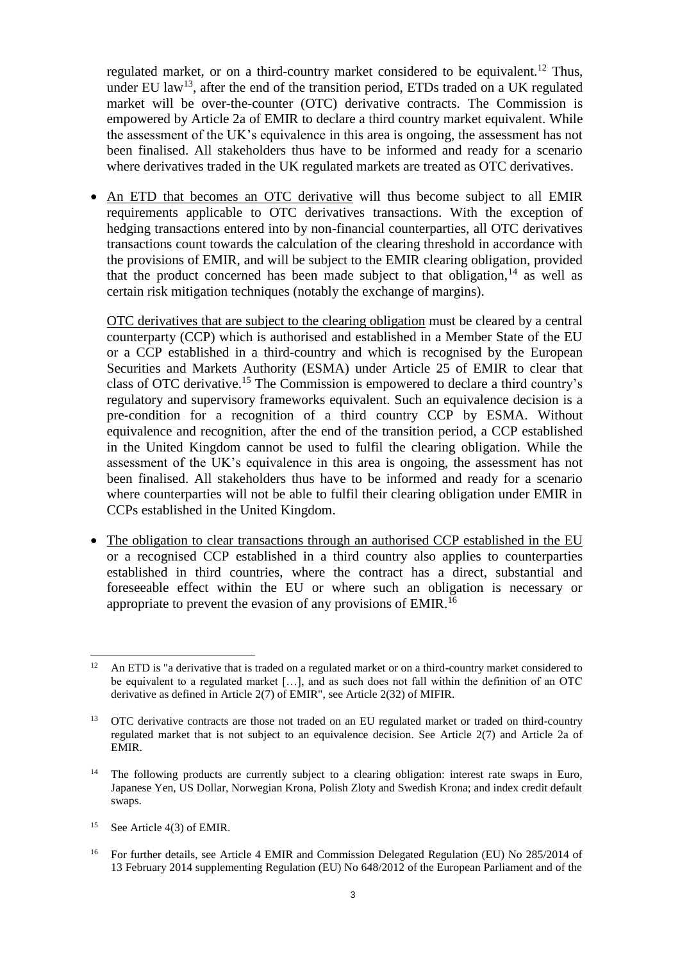regulated market, or on a third-country market considered to be equivalent.<sup>12</sup> Thus, under EU law<sup>13</sup>, after the end of the transition period, ETDs traded on a UK regulated market will be over-the-counter (OTC) derivative contracts. The Commission is empowered by Article 2a of EMIR to declare a third country market equivalent. While the assessment of the UK's equivalence in this area is ongoing, the assessment has not been finalised. All stakeholders thus have to be informed and ready for a scenario where derivatives traded in the UK regulated markets are treated as OTC derivatives.

 An ETD that becomes an OTC derivative will thus become subject to all EMIR requirements applicable to OTC derivatives transactions. With the exception of hedging transactions entered into by non-financial counterparties, all OTC derivatives transactions count towards the calculation of the clearing threshold in accordance with the provisions of EMIR, and will be subject to the EMIR clearing obligation, provided that the product concerned has been made subject to that obligation,  $14$  as well as certain risk mitigation techniques (notably the exchange of margins).

OTC derivatives that are subject to the clearing obligation must be cleared by a central counterparty (CCP) which is authorised and established in a Member State of the EU or a CCP established in a third-country and which is recognised by the European Securities and Markets Authority (ESMA) under Article 25 of EMIR to clear that class of OTC derivative. <sup>15</sup> The Commission is empowered to declare a third country's regulatory and supervisory frameworks equivalent. Such an equivalence decision is a pre-condition for a recognition of a third country CCP by ESMA. Without equivalence and recognition, after the end of the transition period, a CCP established in the United Kingdom cannot be used to fulfil the clearing obligation. While the assessment of the UK's equivalence in this area is ongoing, the assessment has not been finalised. All stakeholders thus have to be informed and ready for a scenario where counterparties will not be able to fulfil their clearing obligation under EMIR in CCPs established in the United Kingdom.

• The obligation to clear transactions through an authorised CCP established in the EU or a recognised CCP established in a third country also applies to counterparties established in third countries, where the contract has a direct, substantial and foreseeable effect within the EU or where such an obligation is necessary or appropriate to prevent the evasion of any provisions of EMIR.<sup>16</sup>

 $\overline{a}$ 

<sup>&</sup>lt;sup>12</sup> An ETD is "a derivative that is traded on a regulated market or on a third-country market considered to be equivalent to a regulated market […], and as such does not fall within the definition of an OTC derivative as defined in Article 2(7) of EMIR", see Article 2(32) of MIFIR.

<sup>&</sup>lt;sup>13</sup> OTC derivative contracts are those not traded on an EU regulated market or traded on third-country regulated market that is not subject to an equivalence decision. See Article 2(7) and Article 2a of EMIR.

<sup>&</sup>lt;sup>14</sup> The following products are currently subject to a clearing obligation: interest rate swaps in Euro, Japanese Yen, US Dollar, Norwegian Krona, Polish Zloty and Swedish Krona; and index credit default swaps.

<sup>&</sup>lt;sup>15</sup> See Article 4(3) of EMIR.

<sup>&</sup>lt;sup>16</sup> For further details, see Article 4 EMIR and Commission Delegated Regulation (EU) No 285/2014 of 13 February 2014 supplementing Regulation (EU) No 648/2012 of the European Parliament and of the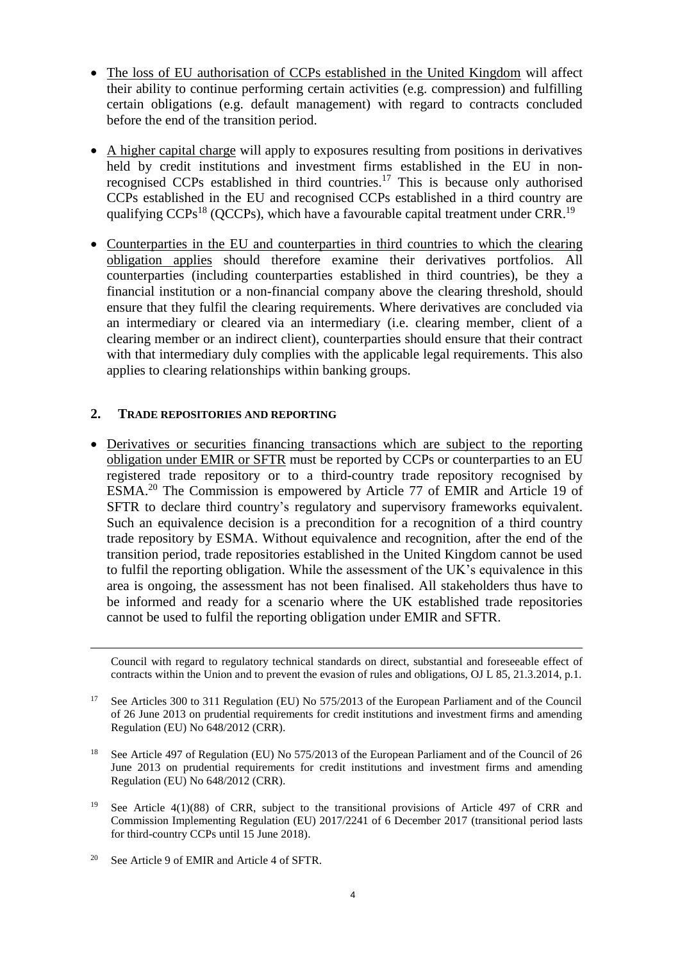- The loss of EU authorisation of CCPs established in the United Kingdom will affect their ability to continue performing certain activities (e.g. compression) and fulfilling certain obligations (e.g. default management) with regard to contracts concluded before the end of the transition period.
- A higher capital charge will apply to exposures resulting from positions in derivatives held by credit institutions and investment firms established in the EU in nonrecognised CCPs established in third countries. <sup>17</sup> This is because only authorised CCPs established in the EU and recognised CCPs established in a third country are qualifying CCPs<sup>18</sup> (QCCPs), which have a favourable capital treatment under CRR.<sup>19</sup>
- Counterparties in the EU and counterparties in third countries to which the clearing obligation applies should therefore examine their derivatives portfolios. All counterparties (including counterparties established in third countries), be they a financial institution or a non-financial company above the clearing threshold, should ensure that they fulfil the clearing requirements. Where derivatives are concluded via an intermediary or cleared via an intermediary (i.e. clearing member, client of a clearing member or an indirect client), counterparties should ensure that their contract with that intermediary duly complies with the applicable legal requirements. This also applies to clearing relationships within banking groups.

### **2. TRADE REPOSITORIES AND REPORTING**

 Derivatives or securities financing transactions which are subject to the reporting obligation under EMIR or SFTR must be reported by CCPs or counterparties to an EU registered trade repository or to a third-country trade repository recognised by ESMA.<sup>20</sup> The Commission is empowered by Article 77 of EMIR and Article 19 of SFTR to declare third country's regulatory and supervisory frameworks equivalent. Such an equivalence decision is a precondition for a recognition of a third country trade repository by ESMA. Without equivalence and recognition, after the end of the transition period, trade repositories established in the United Kingdom cannot be used to fulfil the reporting obligation. While the assessment of the UK's equivalence in this area is ongoing, the assessment has not been finalised. All stakeholders thus have to be informed and ready for a scenario where the UK established trade repositories cannot be used to fulfil the reporting obligation under EMIR and SFTR.

Council with regard to regulatory technical standards on direct, substantial and foreseeable effect of contracts within the Union and to prevent the evasion of rules and obligations, OJ L 85, 21.3.2014, p.1.

- <sup>17</sup> See Articles 300 to 311 Regulation (EU) No 575/2013 of the European Parliament and of the Council of 26 June 2013 on prudential requirements for credit institutions and investment firms and amending Regulation (EU) No 648/2012 (CRR).
- <sup>18</sup> See Article 497 of Regulation (EU) No 575/2013 of the European Parliament and of the Council of 26 June 2013 on prudential requirements for credit institutions and investment firms and amending Regulation (EU) No 648/2012 (CRR).
- See Article 4(1)(88) of CRR, subject to the transitional provisions of Article 497 of CRR and Commission Implementing Regulation (EU) 2017/2241 of 6 December 2017 (transitional period lasts for third-country CCPs until 15 June 2018).
- <sup>20</sup> See Article 9 of EMIR and Article 4 of SFTR.

 $\overline{a}$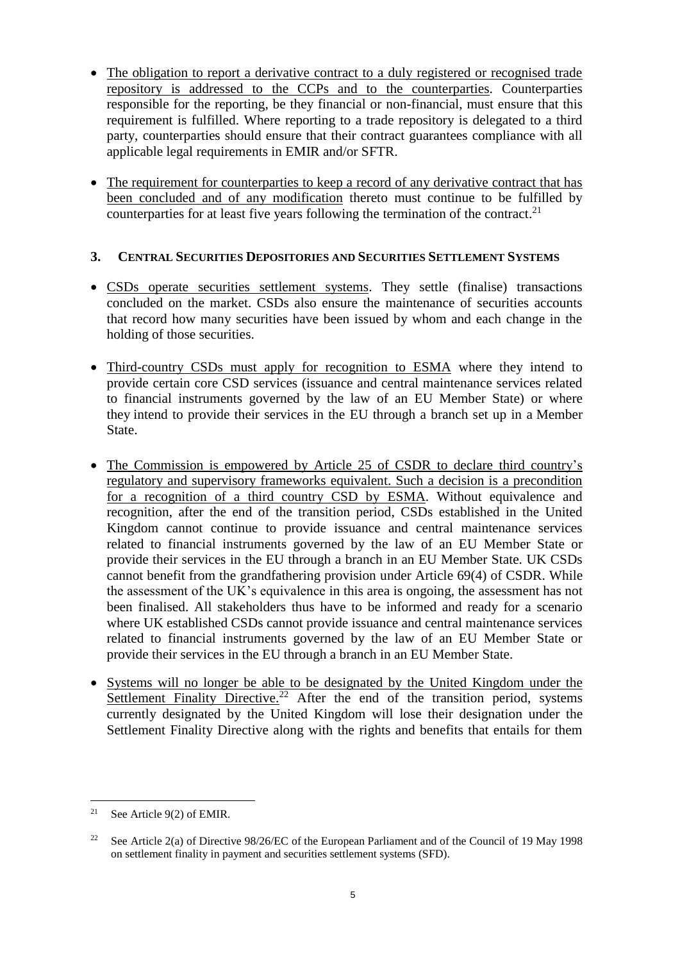- The obligation to report a derivative contract to a duly registered or recognised trade repository is addressed to the CCPs and to the counterparties. Counterparties responsible for the reporting, be they financial or non-financial, must ensure that this requirement is fulfilled. Where reporting to a trade repository is delegated to a third party, counterparties should ensure that their contract guarantees compliance with all applicable legal requirements in EMIR and/or SFTR.
- The requirement for counterparties to keep a record of any derivative contract that has been concluded and of any modification thereto must continue to be fulfilled by counterparties for at least five years following the termination of the contract.<sup>21</sup>

# **3. CENTRAL SECURITIES DEPOSITORIES AND SECURITIES SETTLEMENT SYSTEMS**

- CSDs operate securities settlement systems. They settle (finalise) transactions concluded on the market. CSDs also ensure the maintenance of securities accounts that record how many securities have been issued by whom and each change in the holding of those securities.
- Third-country CSDs must apply for recognition to ESMA where they intend to provide certain core CSD services (issuance and central maintenance services related to financial instruments governed by the law of an EU Member State) or where they intend to provide their services in the EU through a branch set up in a Member State.
- The Commission is empowered by Article 25 of CSDR to declare third country's regulatory and supervisory frameworks equivalent. Such a decision is a precondition for a recognition of a third country CSD by ESMA. Without equivalence and recognition, after the end of the transition period, CSDs established in the United Kingdom cannot continue to provide issuance and central maintenance services related to financial instruments governed by the law of an EU Member State or provide their services in the EU through a branch in an EU Member State. UK CSDs cannot benefit from the grandfathering provision under Article 69(4) of CSDR. While the assessment of the UK's equivalence in this area is ongoing, the assessment has not been finalised. All stakeholders thus have to be informed and ready for a scenario where UK established CSDs cannot provide issuance and central maintenance services related to financial instruments governed by the law of an EU Member State or provide their services in the EU through a branch in an EU Member State.
- Systems will no longer be able to be designated by the United Kingdom under the Settlement Finality Directive.<sup>22</sup> After the end of the transition period, systems currently designated by the United Kingdom will lose their designation under the Settlement Finality Directive along with the rights and benefits that entails for them

 $\overline{a}$ <sup>21</sup> See Article 9(2) of EMIR.

<sup>&</sup>lt;sup>22</sup> See Article 2(a) of Directive 98/26/EC of the European Parliament and of the Council of 19 May 1998 on settlement finality in payment and securities settlement systems (SFD).